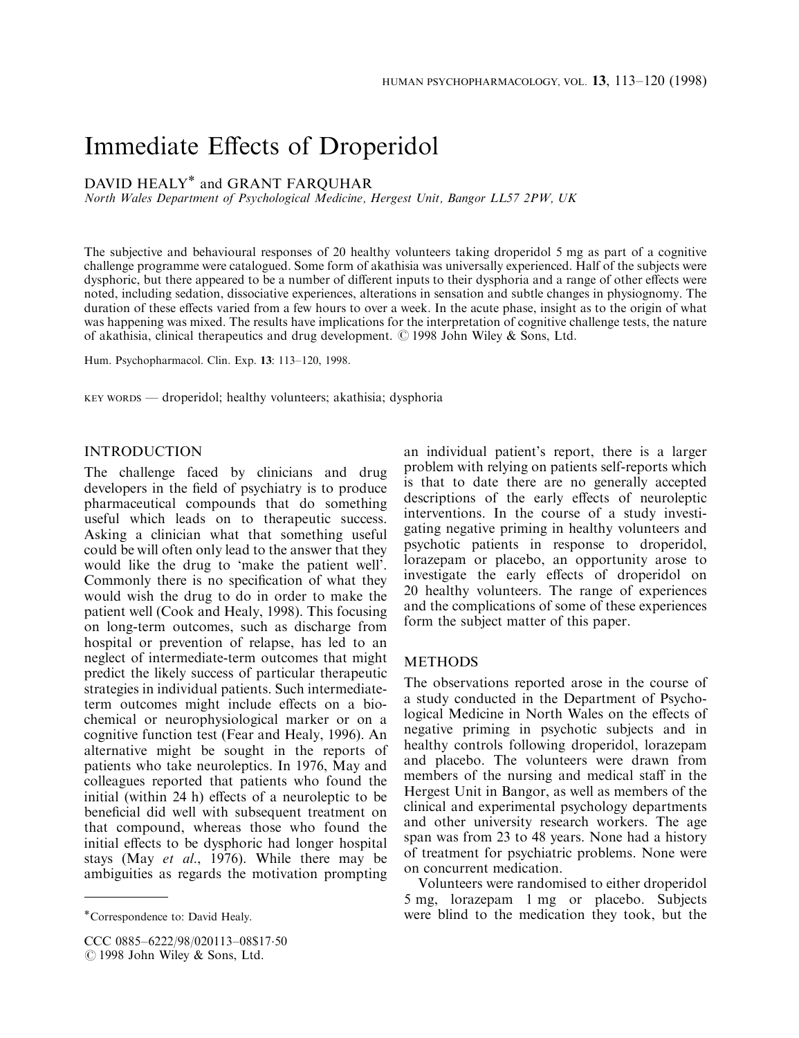# Immediate Effects of Droperidol

DAVID HEALY\* and GRANT FARQUHAR

North Wales Department of Psychological Medicine, Hergest Unit, Bangor LL57 2PW, UK

The subjective and behavioural responses of 20 healthy volunteers taking droperidol 5 mg as part of a cognitive challenge programme were catalogued. Some form of akathisia was universally experienced. Half of the subjects were dysphoric, but there appeared to be a number of different inputs to their dysphoria and a range of other effects were noted, including sedation, dissociative experiences, alterations in sensation and subtle changes in physiognomy. The duration of these effects varied from a few hours to over a week. In the acute phase, insight as to the origin of what was happening was mixed. The results have implications for the interpretation of cognitive challenge tests, the nature of akathisia, clinical therapeutics and drug development.  $\odot$  1998 John Wiley & Sons, Ltd.

Hum. Psychopharmacol. Clin. Exp. 13: 113-120, 1998.

KEY WORDS — droperidol; healthy volunteers; akathisia; dysphoria

## INTRODUCTION

The challenge faced by clinicians and drug developers in the field of psychiatry is to produce pharmaceutical compounds that do something useful which leads on to therapeutic success. Asking a clinician what that something useful could be will often only lead to the answer that they would like the drug to 'make the patient well'. Commonly there is no specification of what they would wish the drug to do in order to make the patient well (Cook and Healy, 1998). This focusing on long-term outcomes, such as discharge from hospital or prevention of relapse, has led to an neglect of intermediate-term outcomes that might predict the likely success of particular therapeutic strategies in individual patients. Such intermediateterm outcomes might include effects on a biochemical or neurophysiological marker or on a cognitive function test (Fear and Healy, 1996). An alternative might be sought in the reports of patients who take neuroleptics. In 1976, May and colleagues reported that patients who found the initial (within  $24$  h) effects of a neuroleptic to be beneficial did well with subsequent treatment on that compound, whereas those who found the initial effects to be dysphoric had longer hospital stays (May et al., 1976). While there may be ambiguities as regards the motivation prompting

CCC 0885-6222/98/020113-08\$17.50 C 1998 John Wiley & Sons, Ltd.

an individual patient's report, there is a larger problem with relying on patients self-reports which is that to date there are no generally accepted descriptions of the early effects of neuroleptic interventions. In the course of a study investigating negative priming in healthy volunteers and psychotic patients in response to droperidol, lorazepam or placebo, an opportunity arose to investigate the early effects of droperidol on 20 healthy volunteers. The range of experiences and the complications of some of these experiences form the subject matter of this paper.

## **METHODS**

The observations reported arose in the course of a study conducted in the Department of Psychological Medicine in North Wales on the effects of negative priming in psychotic subjects and in healthy controls following droperidol, lorazepam and placebo. The volunteers were drawn from members of the nursing and medical staff in the Hergest Unit in Bangor, as well as members of the clinical and experimental psychology departments and other university research workers. The age span was from 23 to 48 years. None had a history of treatment for psychiatric problems. None were on concurrent medication.

Volunteers were randomised to either droperidol 5 mg, lorazepam 1 mg or placebo. Subjects were blind to the medication they took, but the

<sup>\*</sup>Correspondence to: David Healy.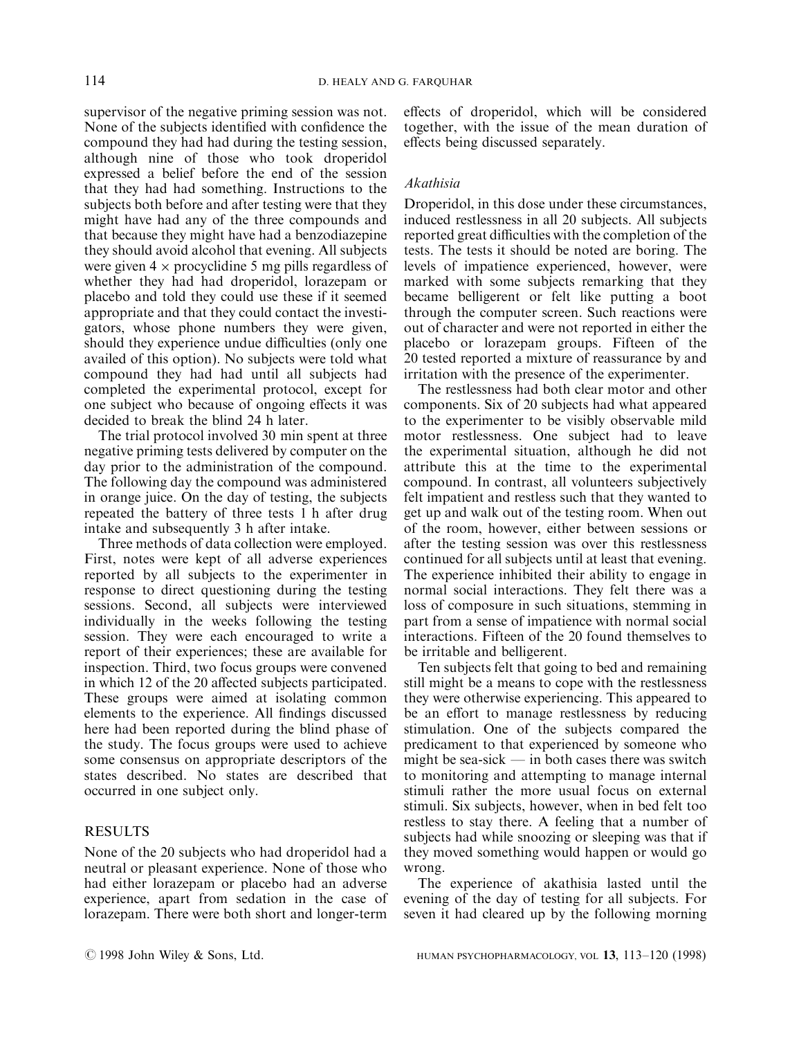supervisor of the negative priming session was not. None of the subjects identified with confidence the compound they had had during the testing session, although nine of those who took droperidol expressed a belief before the end of the session that they had had something. Instructions to the subjects both before and after testing were that they might have had any of the three compounds and that because they might have had a benzodiazepine they should avoid alcohol that evening. All subjects were given  $4 \times$  procyclidine 5 mg pills regardless of whether they had had droperidol, lorazepam or placebo and told they could use these if it seemed appropriate and that they could contact the investigators, whose phone numbers they were given, should they experience undue difficulties (only one availed of this option). No subjects were told what compound they had had until all subjects had completed the experimental protocol, except for one subject who because of ongoing effects it was decided to break the blind 24 h later.

The trial protocol involved 30 min spent at three negative priming tests delivered by computer on the day prior to the administration of the compound. The following day the compound was administered in orange juice. On the day of testing, the subjects repeated the battery of three tests 1 h after drug intake and subsequently 3 h after intake.

Three methods of data collection were employed. First, notes were kept of all adverse experiences reported by all subjects to the experimenter in response to direct questioning during the testing sessions. Second, all subjects were interviewed individually in the weeks following the testing session. They were each encouraged to write a report of their experiences; these are available for inspection. Third, two focus groups were convened in which 12 of the 20 affected subjects participated. These groups were aimed at isolating common elements to the experience. All findings discussed here had been reported during the blind phase of the study. The focus groups were used to achieve some consensus on appropriate descriptors of the states described. No states are described that occurred in one subject only.

## RESULTS

None of the 20 subjects who had droperidol had a neutral or pleasant experience. None of those who had either lorazepam or placebo had an adverse experience, apart from sedation in the case of lorazepam. There were both short and longer-term effects of droperidol, which will be considered together, with the issue of the mean duration of effects being discussed separately.

#### Akathisia

Droperidol, in this dose under these circumstances, induced restlessness in all 20 subjects. All subjects reported great difficulties with the completion of the tests. The tests it should be noted are boring. The levels of impatience experienced, however, were marked with some subjects remarking that they became belligerent or felt like putting a boot through the computer screen. Such reactions were out of character and were not reported in either the placebo or lorazepam groups. Fifteen of the 20 tested reported a mixture of reassurance by and irritation with the presence of the experimenter.

The restlessness had both clear motor and other components. Six of 20 subjects had what appeared to the experimenter to be visibly observable mild motor restlessness. One subject had to leave the experimental situation, although he did not attribute this at the time to the experimental compound. In contrast, all volunteers subjectively felt impatient and restless such that they wanted to get up and walk out of the testing room. When out of the room, however, either between sessions or after the testing session was over this restlessness continued for all subjects until at least that evening. The experience inhibited their ability to engage in normal social interactions. They felt there was a loss of composure in such situations, stemming in part from a sense of impatience with normal social interactions. Fifteen of the 20 found themselves to be irritable and belligerent.

Ten subjects felt that going to bed and remaining still might be a means to cope with the restlessness they were otherwise experiencing. This appeared to be an effort to manage restlessness by reducing stimulation. One of the subjects compared the predicament to that experienced by someone who might be sea-sick  $-\text{in}$  both cases there was switch to monitoring and attempting to manage internal stimuli rather the more usual focus on external stimuli. Six subjects, however, when in bed felt too restless to stay there. A feeling that a number of subjects had while snoozing or sleeping was that if they moved something would happen or would go wrong.

The experience of akathisia lasted until the evening of the day of testing for all subjects. For seven it had cleared up by the following morning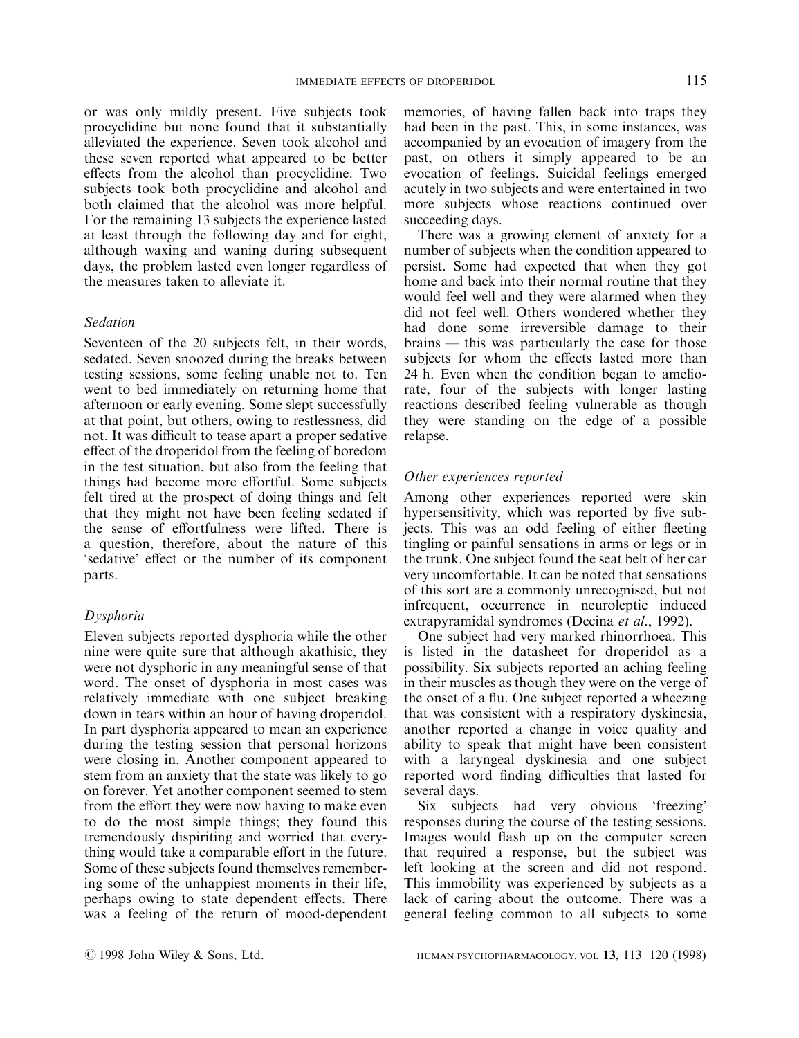or was only mildly present. Five subjects took procyclidine but none found that it substantially alleviated the experience. Seven took alcohol and these seven reported what appeared to be better effects from the alcohol than procyclidine. Two subjects took both procyclidine and alcohol and both claimed that the alcohol was more helpful. For the remaining 13 subjects the experience lasted at least through the following day and for eight, although waxing and waning during subsequent days, the problem lasted even longer regardless of the measures taken to alleviate it.

#### Sedation

Seventeen of the 20 subjects felt, in their words, sedated. Seven snoozed during the breaks between testing sessions, some feeling unable not to. Ten went to bed immediately on returning home that afternoon or early evening. Some slept successfully at that point, but others, owing to restlessness, did not. It was difficult to tease apart a proper sedative effect of the droperidol from the feeling of boredom in the test situation, but also from the feeling that things had become more effortful. Some subjects felt tired at the prospect of doing things and felt that they might not have been feeling sedated if the sense of effortfulness were lifted. There is a question, therefore, about the nature of this 'sedative' effect or the number of its component parts.

#### Dysphoria

Eleven subjects reported dysphoria while the other nine were quite sure that although akathisic, they were not dysphoric in any meaningful sense of that word. The onset of dysphoria in most cases was relatively immediate with one subject breaking down in tears within an hour of having droperidol. In part dysphoria appeared to mean an experience during the testing session that personal horizons were closing in. Another component appeared to stem from an anxiety that the state was likely to go on forever. Yet another component seemed to stem from the effort they were now having to make even to do the most simple things; they found this tremendously dispiriting and worried that everything would take a comparable effort in the future. Some of these subjects found themselves remembering some of the unhappiest moments in their life, perhaps owing to state dependent effects. There was a feeling of the return of mood-dependent memories, of having fallen back into traps they had been in the past. This, in some instances, was accompanied by an evocation of imagery from the past, on others it simply appeared to be an evocation of feelings. Suicidal feelings emerged acutely in two subjects and were entertained in two more subjects whose reactions continued over succeeding days.

There was a growing element of anxiety for a number of subjects when the condition appeared to persist. Some had expected that when they got home and back into their normal routine that they would feel well and they were alarmed when they did not feel well. Others wondered whether they had done some irreversible damage to their  $brain$ s  $-$  this was particularly the case for those subjects for whom the effects lasted more than 24 h. Even when the condition began to ameliorate, four of the subjects with longer lasting reactions described feeling vulnerable as though they were standing on the edge of a possible relapse.

#### Other experiences reported

Among other experiences reported were skin hypersensitivity, which was reported by five subjects. This was an odd feeling of either fleeting tingling or painful sensations in arms or legs or in the trunk. One subject found the seat belt of her car very uncomfortable. It can be noted that sensations of this sort are a commonly unrecognised, but not infrequent, occurrence in neuroleptic induced extrapyramidal syndromes (Decina et al., 1992).

One subject had very marked rhinorrhoea. This is listed in the datasheet for droperidol as a possibility. Six subjects reported an aching feeling in their muscles as though they were on the verge of the onset of a flu. One subject reported a wheezing that was consistent with a respiratory dyskinesia, another reported a change in voice quality and ability to speak that might have been consistent with a laryngeal dyskinesia and one subject reported word finding difficulties that lasted for several days.

Six subjects had very obvious 'freezing' responses during the course of the testing sessions. Images would flash up on the computer screen that required a response, but the subject was left looking at the screen and did not respond. This immobility was experienced by subjects as a lack of caring about the outcome. There was a general feeling common to all subjects to some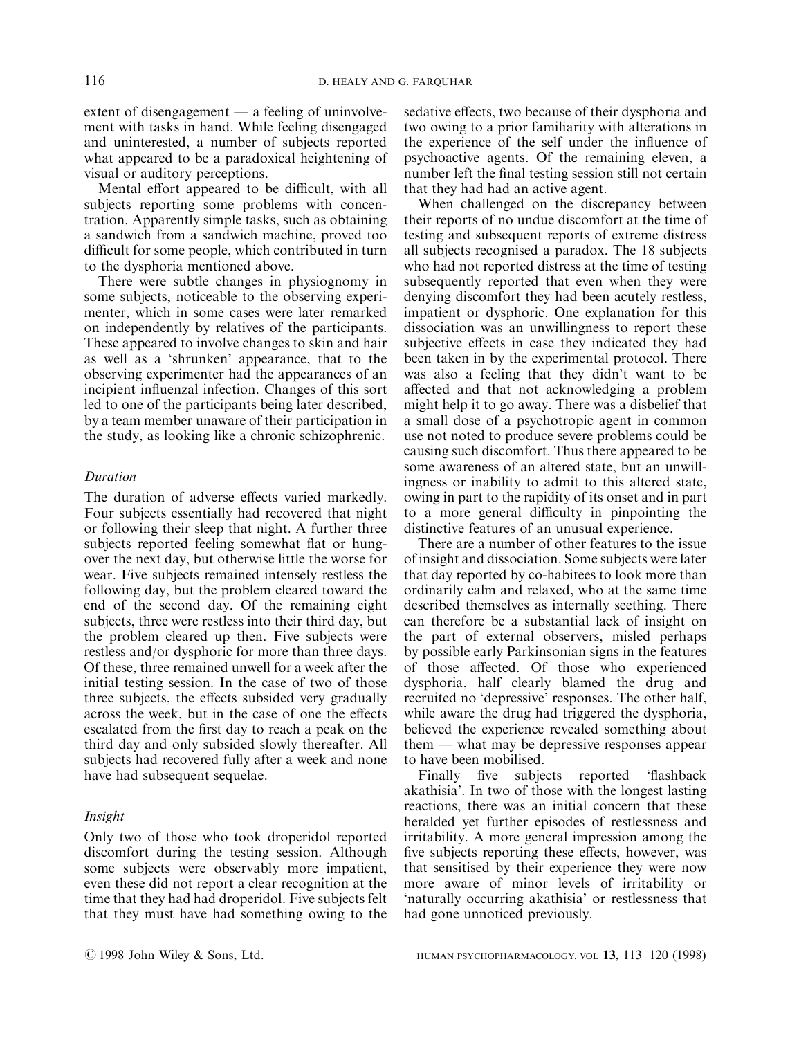extent of disengagement  $\rightharpoonup$  a feeling of uninvolvement with tasks in hand. While feeling disengaged and uninterested, a number of subjects reported what appeared to be a paradoxical heightening of visual or auditory perceptions.

Mental effort appeared to be difficult, with all subjects reporting some problems with concentration. Apparently simple tasks, such as obtaining a sandwich from a sandwich machine, proved too difficult for some people, which contributed in turn to the dysphoria mentioned above.

There were subtle changes in physiognomy in some subjects, noticeable to the observing experimenter, which in some cases were later remarked on independently by relatives of the participants. These appeared to involve changes to skin and hair as well as a `shrunken' appearance, that to the observing experimenter had the appearances of an incipient influenzal infection. Changes of this sort led to one of the participants being later described, by a team member unaware of their participation in the study, as looking like a chronic schizophrenic.

#### Duration

The duration of adverse effects varied markedly. Four subjects essentially had recovered that night or following their sleep that night. A further three subjects reported feeling somewhat flat or hungover the next day, but otherwise little the worse for wear. Five subjects remained intensely restless the following day, but the problem cleared toward the end of the second day. Of the remaining eight subjects, three were restless into their third day, but the problem cleared up then. Five subjects were restless and/or dysphoric for more than three days. Of these, three remained unwell for a week after the initial testing session. In the case of two of those three subjects, the effects subsided very gradually across the week, but in the case of one the effects escalated from the first day to reach a peak on the third day and only subsided slowly thereafter. All subjects had recovered fully after a week and none have had subsequent sequelae.

#### Insight

Only two of those who took droperidol reported discomfort during the testing session. Although some subjects were observably more impatient, even these did not report a clear recognition at the time that they had had droperidol. Five subjects felt that they must have had something owing to the sedative effects, two because of their dysphoria and two owing to a prior familiarity with alterations in the experience of the self under the influence of psychoactive agents. Of the remaining eleven, a number left the final testing session still not certain that they had had an active agent.

When challenged on the discrepancy between their reports of no undue discomfort at the time of testing and subsequent reports of extreme distress all subjects recognised a paradox. The 18 subjects who had not reported distress at the time of testing subsequently reported that even when they were denying discomfort they had been acutely restless, impatient or dysphoric. One explanation for this dissociation was an unwillingness to report these subjective effects in case they indicated they had been taken in by the experimental protocol. There was also a feeling that they didn't want to be affected and that not acknowledging a problem might help it to go away. There was a disbelief that a small dose of a psychotropic agent in common use not noted to produce severe problems could be causing such discomfort. Thus there appeared to be some awareness of an altered state, but an unwillingness or inability to admit to this altered state, owing in part to the rapidity of its onset and in part to a more general difficulty in pinpointing the distinctive features of an unusual experience.

There are a number of other features to the issue of insight and dissociation. Some subjects were later that day reported by co-habitees to look more than ordinarily calm and relaxed, who at the same time described themselves as internally seething. There can therefore be a substantial lack of insight on the part of external observers, misled perhaps by possible early Parkinsonian signs in the features of those affected. Of those who experienced dysphoria, half clearly blamed the drug and recruited no 'depressive' responses. The other half, while aware the drug had triggered the dysphoria, believed the experience revealed something about  $them$  — what may be depressive responses appear to have been mobilised.

Finally five subjects reported 'flashback akathisia'. In two of those with the longest lasting reactions, there was an initial concern that these heralded yet further episodes of restlessness and irritability. A more general impression among the five subjects reporting these effects, however, was that sensitised by their experience they were now more aware of minor levels of irritability or `naturally occurring akathisia' or restlessness that had gone unnoticed previously.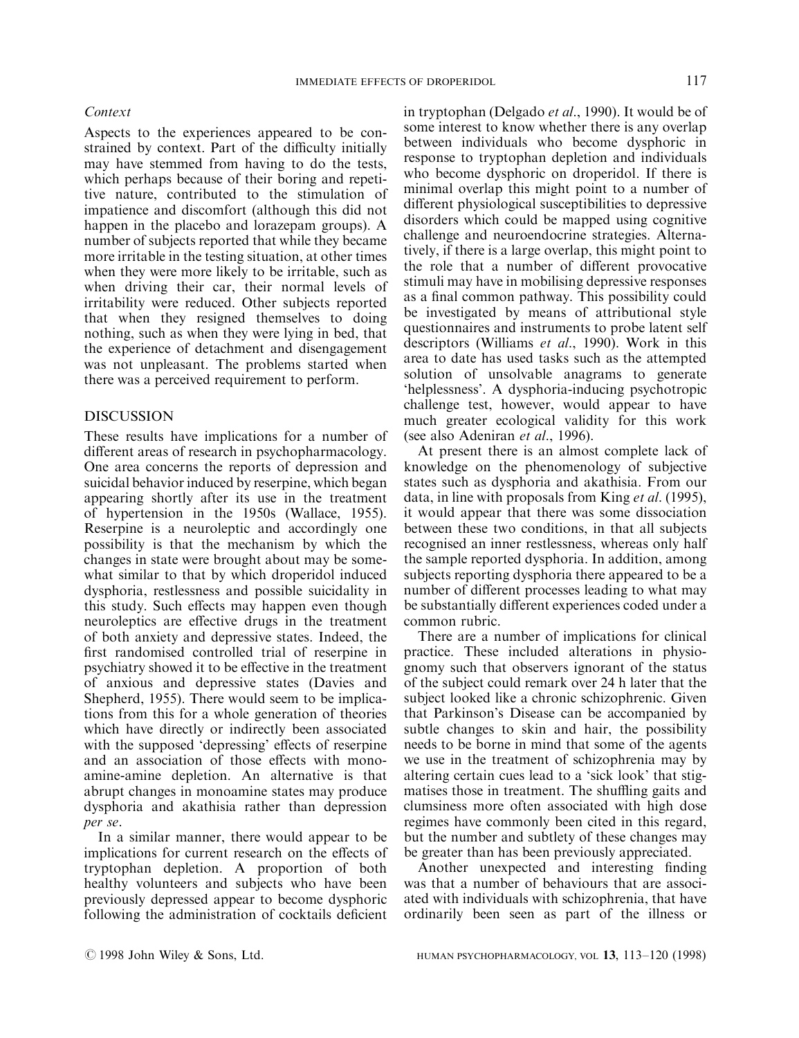#### Context

Aspects to the experiences appeared to be constrained by context. Part of the difficulty initially may have stemmed from having to do the tests, which perhaps because of their boring and repetitive nature, contributed to the stimulation of impatience and discomfort (although this did not happen in the placebo and lorazepam groups). A number of subjects reported that while they became more irritable in the testing situation, at other times when they were more likely to be irritable, such as when driving their car, their normal levels of irritability were reduced. Other subjects reported that when they resigned themselves to doing nothing, such as when they were lying in bed, that the experience of detachment and disengagement was not unpleasant. The problems started when there was a perceived requirement to perform.

### **DISCUSSION**

These results have implications for a number of different areas of research in psychopharmacology. One area concerns the reports of depression and suicidal behavior induced by reserpine, which began appearing shortly after its use in the treatment of hypertension in the 1950s (Wallace, 1955). Reserpine is a neuroleptic and accordingly one possibility is that the mechanism by which the changes in state were brought about may be somewhat similar to that by which droperidol induced dysphoria, restlessness and possible suicidality in this study. Such effects may happen even though neuroleptics are effective drugs in the treatment of both anxiety and depressive states. Indeed, the first randomised controlled trial of reserpine in psychiatry showed it to be effective in the treatment of anxious and depressive states (Davies and Shepherd, 1955). There would seem to be implications from this for a whole generation of theories which have directly or indirectly been associated with the supposed 'depressing' effects of reserpine and an association of those effects with monoamine-amine depletion. An alternative is that abrupt changes in monoamine states may produce dysphoria and akathisia rather than depression per se.

In a similar manner, there would appear to be implications for current research on the effects of tryptophan depletion. A proportion of both healthy volunteers and subjects who have been previously depressed appear to become dysphoric following the administration of cocktails deficient in tryptophan (Delgado et al., 1990). It would be of some interest to know whether there is any overlap between individuals who become dysphoric in response to tryptophan depletion and individuals who become dysphoric on droperidol. If there is minimal overlap this might point to a number of different physiological susceptibilities to depressive disorders which could be mapped using cognitive challenge and neuroendocrine strategies. Alternatively, if there is a large overlap, this might point to the role that a number of different provocative stimuli may have in mobilising depressive responses as a final common pathway. This possibility could be investigated by means of attributional style questionnaires and instruments to probe latent self descriptors (Williams et al., 1990). Work in this area to date has used tasks such as the attempted solution of unsolvable anagrams to generate `helplessness'. A dysphoria-inducing psychotropic challenge test, however, would appear to have much greater ecological validity for this work (see also Adeniran et al., 1996).

At present there is an almost complete lack of knowledge on the phenomenology of subjective states such as dysphoria and akathisia. From our data, in line with proposals from King et al. (1995), it would appear that there was some dissociation between these two conditions, in that all subjects recognised an inner restlessness, whereas only half the sample reported dysphoria. In addition, among subjects reporting dysphoria there appeared to be a number of different processes leading to what may be substantially different experiences coded under a common rubric.

There are a number of implications for clinical practice. These included alterations in physiognomy such that observers ignorant of the status of the subject could remark over 24 h later that the subject looked like a chronic schizophrenic. Given that Parkinson's Disease can be accompanied by subtle changes to skin and hair, the possibility needs to be borne in mind that some of the agents we use in the treatment of schizophrenia may by altering certain cues lead to a 'sick look' that stigmatises those in treatment. The shuffling gaits and clumsiness more often associated with high dose regimes have commonly been cited in this regard, but the number and subtlety of these changes may be greater than has been previously appreciated.

Another unexpected and interesting finding was that a number of behaviours that are associated with individuals with schizophrenia, that have ordinarily been seen as part of the illness or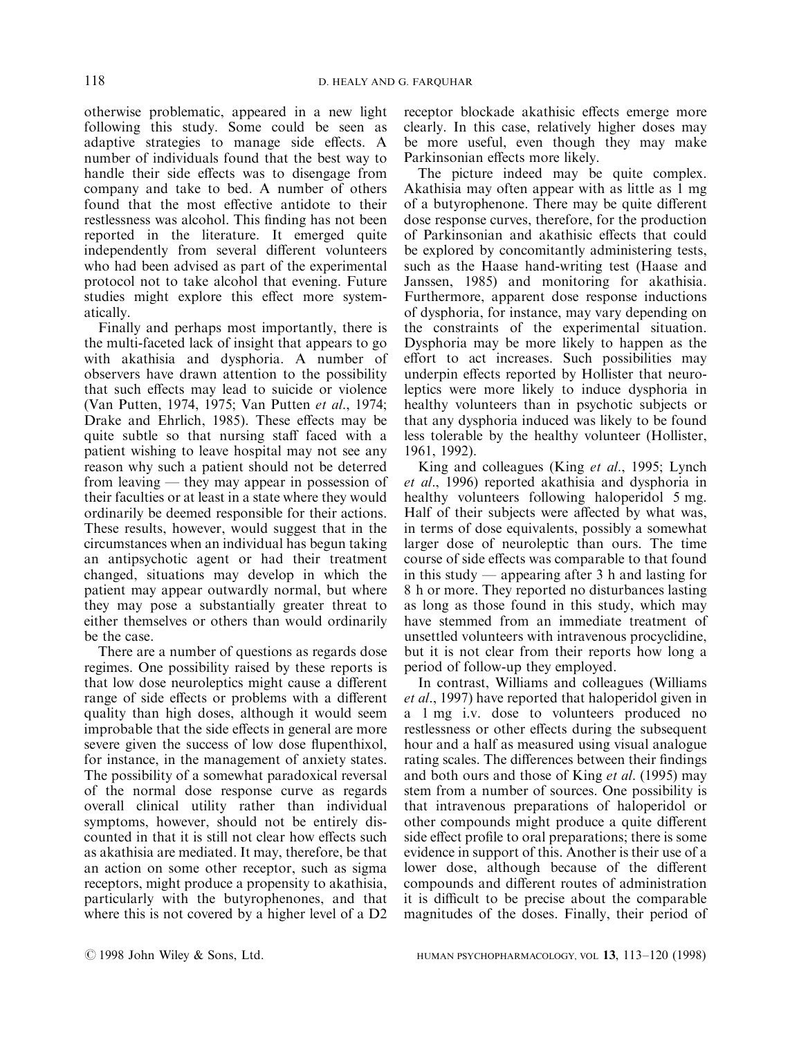otherwise problematic, appeared in a new light following this study. Some could be seen as adaptive strategies to manage side effects. A number of individuals found that the best way to handle their side effects was to disengage from company and take to bed. A number of others found that the most effective antidote to their restlessness was alcohol. This finding has not been reported in the literature. It emerged quite independently from several different volunteers who had been advised as part of the experimental protocol not to take alcohol that evening. Future studies might explore this effect more systematically.

Finally and perhaps most importantly, there is the multi-faceted lack of insight that appears to go with akathisia and dysphoria. A number of observers have drawn attention to the possibility that such effects may lead to suicide or violence (Van Putten, 1974, 1975; Van Putten et al., 1974; Drake and Ehrlich, 1985). These effects may be quite subtle so that nursing staff faced with a patient wishing to leave hospital may not see any reason why such a patient should not be deterred from leaving  $-$  they may appear in possession of their faculties or at least in a state where they would ordinarily be deemed responsible for their actions. These results, however, would suggest that in the circumstances when an individual has begun taking an antipsychotic agent or had their treatment changed, situations may develop in which the patient may appear outwardly normal, but where they may pose a substantially greater threat to either themselves or others than would ordinarily be the case.

There are a number of questions as regards dose regimes. One possibility raised by these reports is that low dose neuroleptics might cause a different range of side effects or problems with a different quality than high doses, although it would seem improbable that the side effects in general are more severe given the success of low dose flupenthixol, for instance, in the management of anxiety states. The possibility of a somewhat paradoxical reversal of the normal dose response curve as regards overall clinical utility rather than individual symptoms, however, should not be entirely discounted in that it is still not clear how effects such as akathisia are mediated. It may, therefore, be that an action on some other receptor, such as sigma receptors, might produce a propensity to akathisia, particularly with the butyrophenones, and that where this is not covered by a higher level of a D2

receptor blockade akathisic effects emerge more clearly. In this case, relatively higher doses may be more useful, even though they may make Parkinsonian effects more likely.

The picture indeed may be quite complex. Akathisia may often appear with as little as 1 mg of a butyrophenone. There may be quite different dose response curves, therefore, for the production of Parkinsonian and akathisic effects that could be explored by concomitantly administering tests, such as the Haase hand-writing test (Haase and Janssen, 1985) and monitoring for akathisia. Furthermore, apparent dose response inductions of dysphoria, for instance, may vary depending on the constraints of the experimental situation. Dysphoria may be more likely to happen as the effort to act increases. Such possibilities may underpin effects reported by Hollister that neuroleptics were more likely to induce dysphoria in healthy volunteers than in psychotic subjects or that any dysphoria induced was likely to be found less tolerable by the healthy volunteer (Hollister, 1961, 1992).

King and colleagues (King *et al.*, 1995; Lynch et al., 1996) reported akathisia and dysphoria in healthy volunteers following haloperidol 5 mg. Half of their subjects were affected by what was, in terms of dose equivalents, possibly a somewhat larger dose of neuroleptic than ours. The time course of side effects was comparable to that found in this study  $-\$  appearing after 3 h and lasting for 8 h or more. They reported no disturbances lasting as long as those found in this study, which may have stemmed from an immediate treatment of unsettled volunteers with intravenous procyclidine, but it is not clear from their reports how long a period of follow-up they employed.

In contrast, Williams and colleagues (Williams et al., 1997) have reported that haloperidol given in a 1 mg i.v. dose to volunteers produced no restlessness or other effects during the subsequent hour and a half as measured using visual analogue rating scales. The differences between their findings and both ours and those of King et al. (1995) may stem from a number of sources. One possibility is that intravenous preparations of haloperidol or other compounds might produce a quite different side effect profile to oral preparations; there is some evidence in support of this. Another is their use of a lower dose, although because of the different compounds and different routes of administration it is difficult to be precise about the comparable magnitudes of the doses. Finally, their period of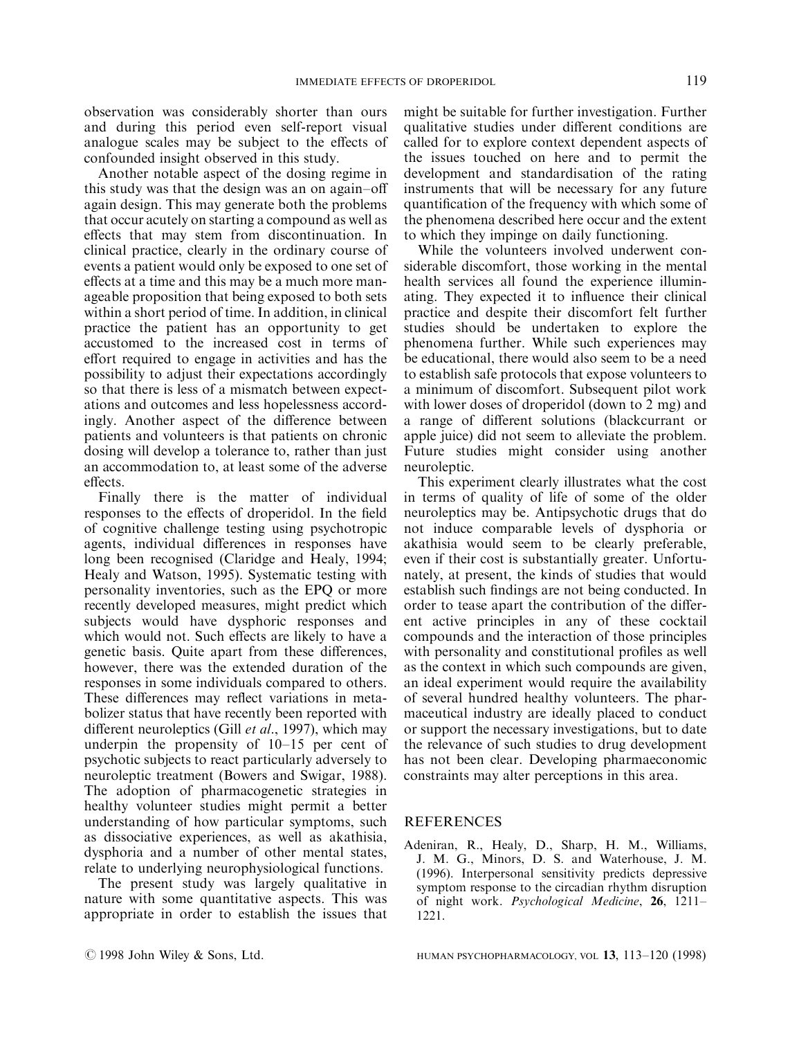observation was considerably shorter than ours and during this period even self-report visual analogue scales may be subject to the effects of confounded insight observed in this study.

Another notable aspect of the dosing regime in this study was that the design was an on again-off again design. This may generate both the problems that occur acutely on starting a compound as well as effects that may stem from discontinuation. In clinical practice, clearly in the ordinary course of events a patient would only be exposed to one set of effects at a time and this may be a much more manageable proposition that being exposed to both sets within a short period of time. In addition, in clinical practice the patient has an opportunity to get accustomed to the increased cost in terms of effort required to engage in activities and has the possibility to adjust their expectations accordingly so that there is less of a mismatch between expectations and outcomes and less hopelessness accordingly. Another aspect of the difference between patients and volunteers is that patients on chronic dosing will develop a tolerance to, rather than just an accommodation to, at least some of the adverse effects.

Finally there is the matter of individual responses to the effects of droperidol. In the field of cognitive challenge testing using psychotropic agents, individual differences in responses have long been recognised (Claridge and Healy, 1994; Healy and Watson, 1995). Systematic testing with personality inventories, such as the EPQ or more recently developed measures, might predict which subjects would have dysphoric responses and which would not. Such effects are likely to have a genetic basis. Quite apart from these differences, however, there was the extended duration of the responses in some individuals compared to others. These differences may reflect variations in metabolizer status that have recently been reported with different neuroleptics (Gill *et al.*, 1997), which may underpin the propensity of  $10-15$  per cent of psychotic subjects to react particularly adversely to neuroleptic treatment (Bowers and Swigar, 1988). The adoption of pharmacogenetic strategies in healthy volunteer studies might permit a better understanding of how particular symptoms, such as dissociative experiences, as well as akathisia, dysphoria and a number of other mental states, relate to underlying neurophysiological functions.

The present study was largely qualitative in nature with some quantitative aspects. This was appropriate in order to establish the issues that might be suitable for further investigation. Further qualitative studies under different conditions are called for to explore context dependent aspects of the issues touched on here and to permit the development and standardisation of the rating instruments that will be necessary for any future quantification of the frequency with which some of the phenomena described here occur and the extent to which they impinge on daily functioning.

While the volunteers involved underwent considerable discomfort, those working in the mental health services all found the experience illuminating. They expected it to influence their clinical practice and despite their discomfort felt further studies should be undertaken to explore the phenomena further. While such experiences may be educational, there would also seem to be a need to establish safe protocols that expose volunteers to a minimum of discomfort. Subsequent pilot work with lower doses of droperidol (down to 2 mg) and a range of different solutions (blackcurrant or apple juice) did not seem to alleviate the problem. Future studies might consider using another neuroleptic.

This experiment clearly illustrates what the cost in terms of quality of life of some of the older neuroleptics may be. Antipsychotic drugs that do not induce comparable levels of dysphoria or akathisia would seem to be clearly preferable, even if their cost is substantially greater. Unfortunately, at present, the kinds of studies that would establish such findings are not being conducted. In order to tease apart the contribution of the different active principles in any of these cocktail compounds and the interaction of those principles with personality and constitutional profiles as well as the context in which such compounds are given, an ideal experiment would require the availability of several hundred healthy volunteers. The pharmaceutical industry are ideally placed to conduct or support the necessary investigations, but to date the relevance of such studies to drug development has not been clear. Developing pharmaeconomic constraints may alter perceptions in this area.

## REFERENCES

Adeniran, R., Healy, D., Sharp, H. M., Williams, J. M. G., Minors, D. S. and Waterhouse, J. M. (1996). Interpersonal sensitivity predicts depressive symptom response to the circadian rhythm disruption of night work. Psychological Medicine, 26, 1211-1221.